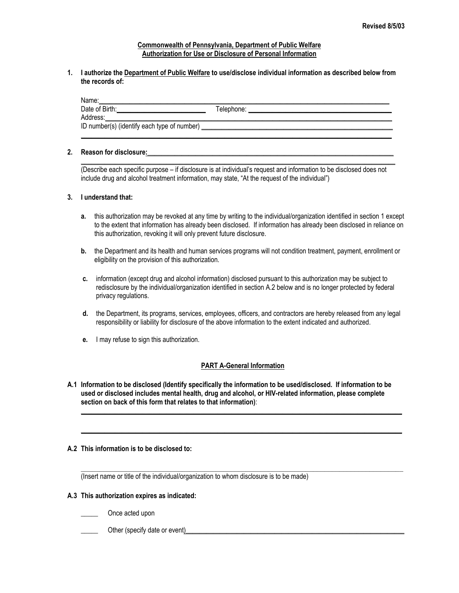#### **Commonwealth of Pennsylvania, Department of Public Welfare Authorization for Use or Disclosure of Personal Information**

#### **1. I authorize the Department of Public Welfare to use/disclose individual information as described below from the records of:**

| Name:                                       |            |
|---------------------------------------------|------------|
| Date of Birth:                              | Telephone: |
| Address:                                    |            |
| ID number(s) (identify each type of number) |            |
|                                             |            |

## **2. Reason for disclosure:**\_\_\_\_\_\_\_\_\_\_\_\_\_\_\_\_\_\_\_\_\_\_\_\_\_\_\_\_\_\_\_\_\_\_\_\_\_\_\_\_\_\_\_\_\_\_\_\_\_\_\_\_\_\_\_\_\_\_\_\_\_\_\_\_\_\_\_\_\_\_\_\_

 $\_$  ,  $\_$  ,  $\_$  ,  $\_$  ,  $\_$  ,  $\_$  ,  $\_$  ,  $\_$  ,  $\_$  ,  $\_$  ,  $\_$  ,  $\_$  ,  $\_$  ,  $\_$  ,  $\_$  ,  $\_$  ,  $\_$  ,  $\_$  ,  $\_$  ,  $\_$  ,  $\_$  ,  $\_$  ,  $\_$  ,  $\_$  ,  $\_$  ,  $\_$  ,  $\_$  ,  $\_$  ,  $\_$  ,  $\_$  ,  $\_$  ,  $\_$  ,  $\_$  ,  $\_$  ,  $\_$  ,  $\_$  ,  $\_$  , (Describe each specific purpose – if disclosure is at individual's request and information to be disclosed does not include drug and alcohol treatment information, may state, "At the request of the individual")

## **3. I understand that:**

- **a.** this authorization may be revoked at any time by writing to the individual/organization identified in section 1 except to the extent that information has already been disclosed. If information has already been disclosed in reliance on this authorization, revoking it will only prevent future disclosure.
- **b.** the Department and its health and human services programs will not condition treatment, payment, enrollment or eligibility on the provision of this authorization.
- **c.** information (except drug and alcohol information) disclosed pursuant to this authorization may be subject to redisclosure by the individual/organization identified in section A.2 below and is no longer protected by federal privacy regulations.
- **d.** the Department, its programs, services, employees, officers, and contractors are hereby released from any legal responsibility or liability for disclosure of the above information to the extent indicated and authorized.
- **e.** I may refuse to sign this authorization.

#### **PART A-General Information**

 $\_$  ,  $\_$  ,  $\_$  ,  $\_$  ,  $\_$  ,  $\_$  ,  $\_$  ,  $\_$  ,  $\_$  ,  $\_$  ,  $\_$  ,  $\_$  ,  $\_$  ,  $\_$  ,  $\_$  ,  $\_$  ,  $\_$  ,  $\_$  ,  $\_$  ,  $\_$  ,  $\_$  ,  $\_$  ,  $\_$  ,  $\_$  ,  $\_$  ,  $\_$  ,  $\_$  ,  $\_$  ,  $\_$  ,  $\_$  ,  $\_$  ,  $\_$  ,  $\_$  ,  $\_$  ,  $\_$  ,  $\_$  ,  $\_$  ,

 $\mathcal{L}_\mathcal{L} = \mathcal{L}_\mathcal{L} = \mathcal{L}_\mathcal{L} = \mathcal{L}_\mathcal{L} = \mathcal{L}_\mathcal{L} = \mathcal{L}_\mathcal{L} = \mathcal{L}_\mathcal{L} = \mathcal{L}_\mathcal{L} = \mathcal{L}_\mathcal{L} = \mathcal{L}_\mathcal{L} = \mathcal{L}_\mathcal{L} = \mathcal{L}_\mathcal{L} = \mathcal{L}_\mathcal{L} = \mathcal{L}_\mathcal{L} = \mathcal{L}_\mathcal{L} = \mathcal{L}_\mathcal{L} = \mathcal{L}_\mathcal{L}$ 

 $\mathcal{L}_\text{max}$  , and the contribution of the contribution of the contribution of the contribution of the contribution of the contribution of the contribution of the contribution of the contribution of the contribution of t

**A.1 Information to be disclosed (Identify specifically the information to be used/disclosed. If information to be used or disclosed includes mental health, drug and alcohol, or HIV-related information, please complete section on back of this form that relates to that information)**:

#### **A.2 This information is to be disclosed to:**

(Insert name or title of the individual/organization to whom disclosure is to be made)

## **A.3 This authorization expires as indicated:**

- \_\_\_\_\_ Once acted upon
- \_\_\_\_\_ Other (specify date or event)\_\_\_\_\_\_\_\_\_\_\_\_\_\_\_\_\_\_\_\_\_\_\_\_\_\_\_\_\_\_\_\_\_\_\_\_\_\_\_\_\_\_\_\_\_\_\_\_\_\_\_\_\_\_\_\_\_\_\_\_\_\_\_\_